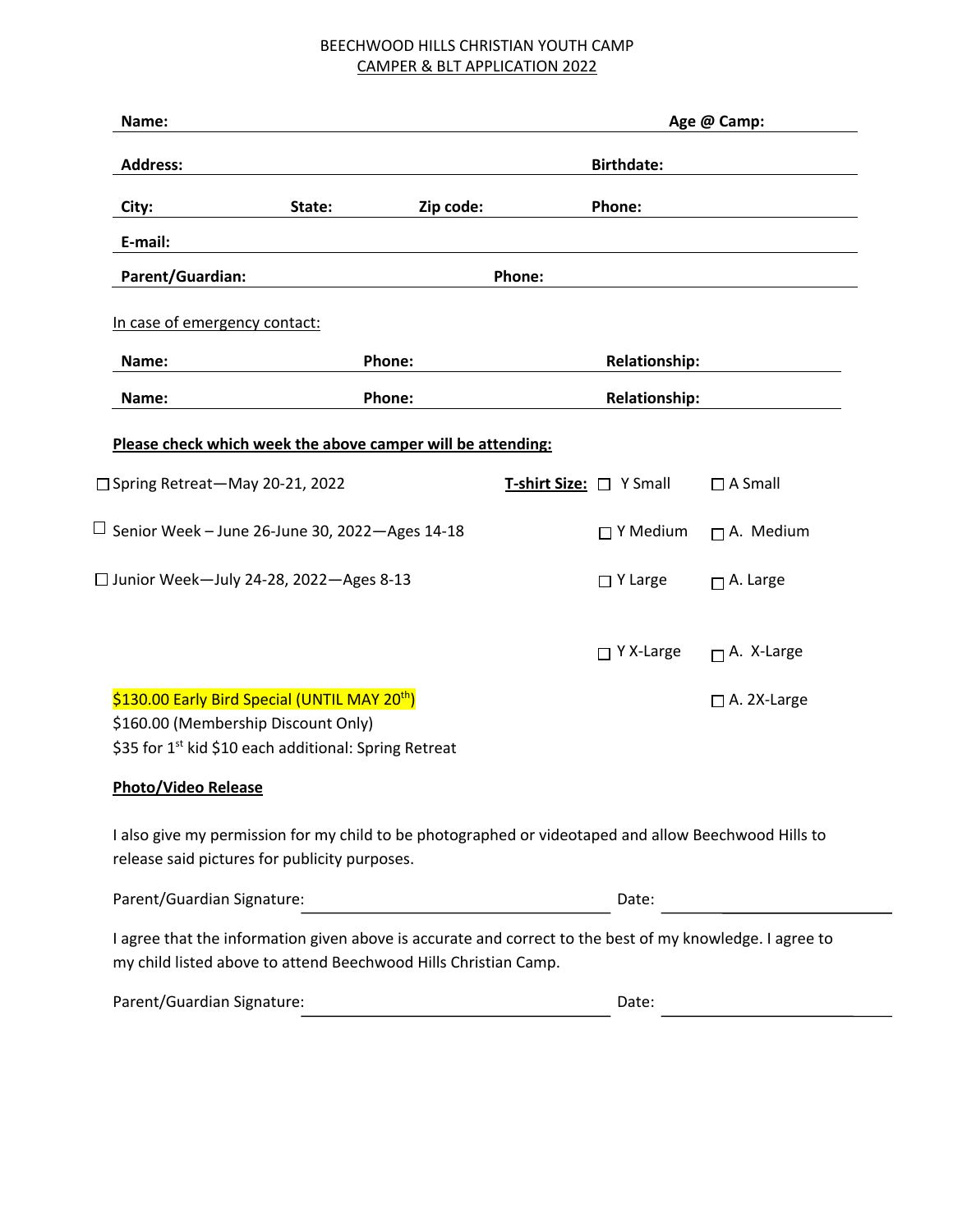# BEECHWOOD HILLS CHRISTIAN YOUTH CAMP CAMPER & BLT APPLICATION 2022

| Name:                                                                                                                                                                       |        |           |        |                         | Age @ Camp:        |
|-----------------------------------------------------------------------------------------------------------------------------------------------------------------------------|--------|-----------|--------|-------------------------|--------------------|
| <b>Address:</b>                                                                                                                                                             |        |           |        | <b>Birthdate:</b>       |                    |
| City:                                                                                                                                                                       | State: | Zip code: |        | Phone:                  |                    |
| E-mail:                                                                                                                                                                     |        |           |        |                         |                    |
| Parent/Guardian:                                                                                                                                                            |        |           | Phone: |                         |                    |
| In case of emergency contact:                                                                                                                                               |        |           |        |                         |                    |
| Name:                                                                                                                                                                       | Phone: |           |        | <b>Relationship:</b>    |                    |
| Name:                                                                                                                                                                       | Phone: |           |        | <b>Relationship:</b>    |                    |
| Please check which week the above camper will be attending:                                                                                                                 |        |           |        |                         |                    |
| □ Spring Retreat-May 20-21, 2022                                                                                                                                            |        |           |        | T-shirt Size: □ Y Small | $\Box$ A Small     |
| $\Box$ Senior Week – June 26-June 30, 2022 – Ages 14-18                                                                                                                     |        |           |        | $\Box$ Y Medium         | $\Box$ A. Medium   |
| □ Junior Week-July 24-28, 2022-Ages 8-13                                                                                                                                    |        |           |        | $\Box$ Y Large          | $\Box$ A. Large    |
|                                                                                                                                                                             |        |           |        | $\Box$ Y X-Large        | $\Box$ A. X-Large  |
| \$130.00 Early Bird Special (UNTIL MAY 20 <sup>th</sup> )<br>\$160.00 (Membership Discount Only)<br>\$35 for 1 <sup>st</sup> kid \$10 each additional: Spring Retreat       |        |           |        |                         | $\Box$ A. 2X-Large |
| <b>Photo/Video Release</b>                                                                                                                                                  |        |           |        |                         |                    |
| I also give my permission for my child to be photographed or videotaped and allow Beechwood Hills to<br>release said pictures for publicity purposes.                       |        |           |        |                         |                    |
| Parent/Guardian Signature:                                                                                                                                                  |        |           |        | Date:                   |                    |
| I agree that the information given above is accurate and correct to the best of my knowledge. I agree to<br>my child listed above to attend Beechwood Hills Christian Camp. |        |           |        |                         |                    |
| Parent/Guardian Signature:                                                                                                                                                  |        |           |        | Date:                   |                    |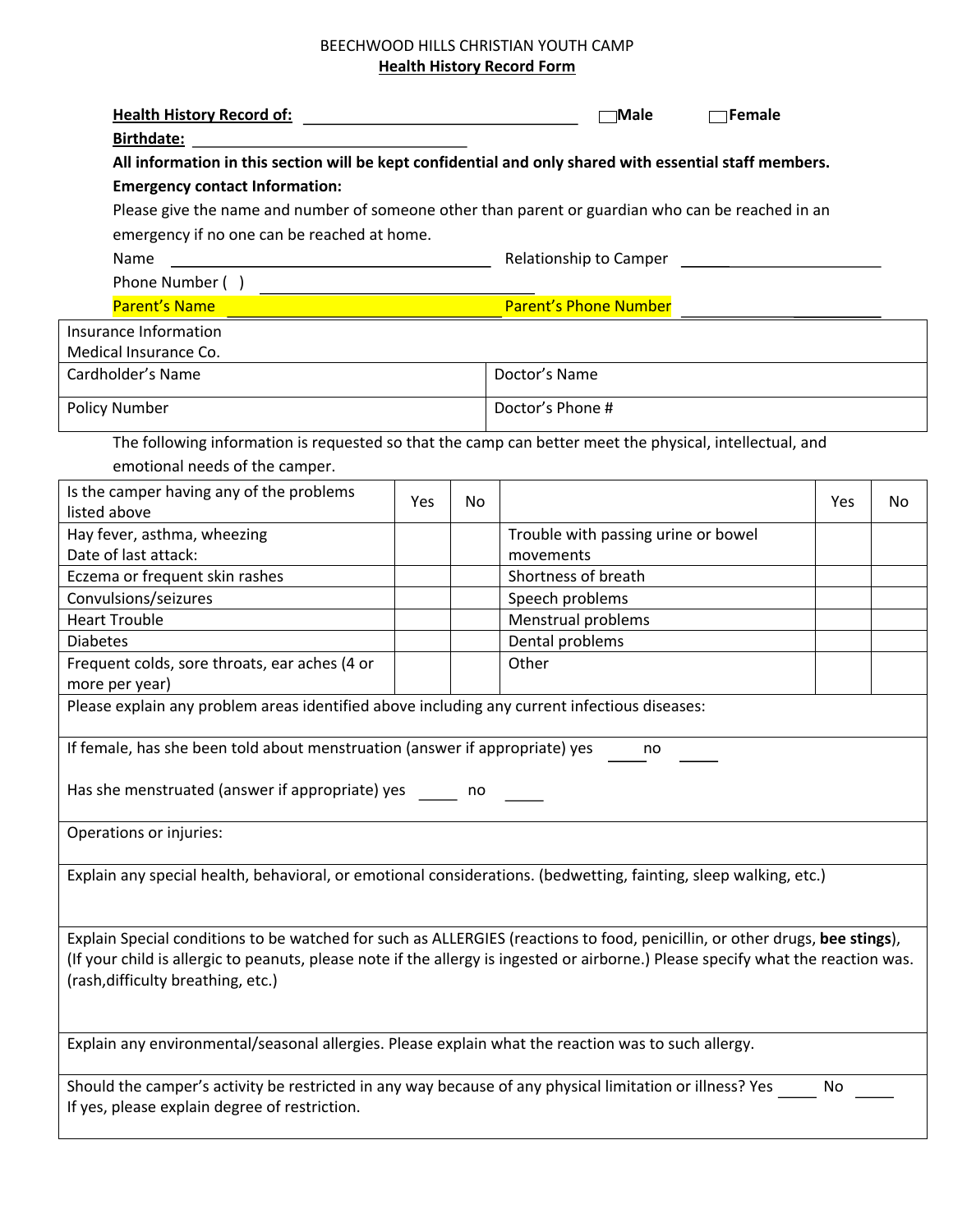# BEECHWOOD HILLS CHRISTIAN YOUTH CAMP **Health History Record Form**

| <b>Health History Record of:</b>                                                                                                  |     |    | $\neg$ Male<br><b>TFemale</b>                                                                           |     |    |
|-----------------------------------------------------------------------------------------------------------------------------------|-----|----|---------------------------------------------------------------------------------------------------------|-----|----|
| <b>Birthdate:</b>                                                                                                                 |     |    |                                                                                                         |     |    |
|                                                                                                                                   |     |    | All information in this section will be kept confidential and only shared with essential staff members. |     |    |
| <b>Emergency contact Information:</b>                                                                                             |     |    |                                                                                                         |     |    |
|                                                                                                                                   |     |    | Please give the name and number of someone other than parent or guardian who can be reached in an       |     |    |
| emergency if no one can be reached at home.                                                                                       |     |    |                                                                                                         |     |    |
| Name                                                                                                                              |     |    | Relationship to Camper _________                                                                        |     |    |
| Phone Number ()                                                                                                                   |     |    |                                                                                                         |     |    |
| <b>Parent's Name</b>                                                                                                              |     |    | <b>Parent's Phone Number</b>                                                                            |     |    |
| Insurance Information                                                                                                             |     |    |                                                                                                         |     |    |
| Medical Insurance Co.                                                                                                             |     |    |                                                                                                         |     |    |
| Cardholder's Name                                                                                                                 |     |    | Doctor's Name                                                                                           |     |    |
| <b>Policy Number</b>                                                                                                              |     |    | Doctor's Phone #                                                                                        |     |    |
|                                                                                                                                   |     |    |                                                                                                         |     |    |
|                                                                                                                                   |     |    | The following information is requested so that the camp can better meet the physical, intellectual, and |     |    |
| emotional needs of the camper.                                                                                                    |     |    |                                                                                                         |     |    |
| Is the camper having any of the problems<br>listed above                                                                          | Yes | No |                                                                                                         | Yes | No |
| Hay fever, asthma, wheezing                                                                                                       |     |    | Trouble with passing urine or bowel                                                                     |     |    |
| Date of last attack:                                                                                                              |     |    | movements                                                                                               |     |    |
| Eczema or frequent skin rashes                                                                                                    |     |    | Shortness of breath                                                                                     |     |    |
| Convulsions/seizures                                                                                                              |     |    | Speech problems                                                                                         |     |    |
| <b>Heart Trouble</b>                                                                                                              |     |    | Menstrual problems                                                                                      |     |    |
| <b>Diabetes</b>                                                                                                                   |     |    | Dental problems                                                                                         |     |    |
| Frequent colds, sore throats, ear aches (4 or<br>more per year)                                                                   |     |    | Other                                                                                                   |     |    |
| Please explain any problem areas identified above including any current infectious diseases:                                      |     |    |                                                                                                         |     |    |
|                                                                                                                                   |     |    |                                                                                                         |     |    |
| If female, has she been told about menstruation (answer if appropriate) yes                                                       |     |    | no                                                                                                      |     |    |
|                                                                                                                                   |     |    |                                                                                                         |     |    |
| Has she menstruated (answer if appropriate) yes                                                                                   |     | no |                                                                                                         |     |    |
|                                                                                                                                   |     |    |                                                                                                         |     |    |
| Operations or injuries:                                                                                                           |     |    |                                                                                                         |     |    |
| Explain any special health, behavioral, or emotional considerations. (bedwetting, fainting, sleep walking, etc.)                  |     |    |                                                                                                         |     |    |
|                                                                                                                                   |     |    |                                                                                                         |     |    |
|                                                                                                                                   |     |    |                                                                                                         |     |    |
| Explain Special conditions to be watched for such as ALLERGIES (reactions to food, penicillin, or other drugs, bee stings),       |     |    |                                                                                                         |     |    |
| (If your child is allergic to peanuts, please note if the allergy is ingested or airborne.) Please specify what the reaction was. |     |    |                                                                                                         |     |    |
| (rash, difficulty breathing, etc.)                                                                                                |     |    |                                                                                                         |     |    |
|                                                                                                                                   |     |    |                                                                                                         |     |    |
|                                                                                                                                   |     |    |                                                                                                         |     |    |
| Explain any environmental/seasonal allergies. Please explain what the reaction was to such allergy.                               |     |    |                                                                                                         |     |    |
| Should the camper's activity be restricted in any way because of any physical limitation or illness? Yes                          |     |    |                                                                                                         | No  |    |
| If yes, please explain degree of restriction.                                                                                     |     |    |                                                                                                         |     |    |
|                                                                                                                                   |     |    |                                                                                                         |     |    |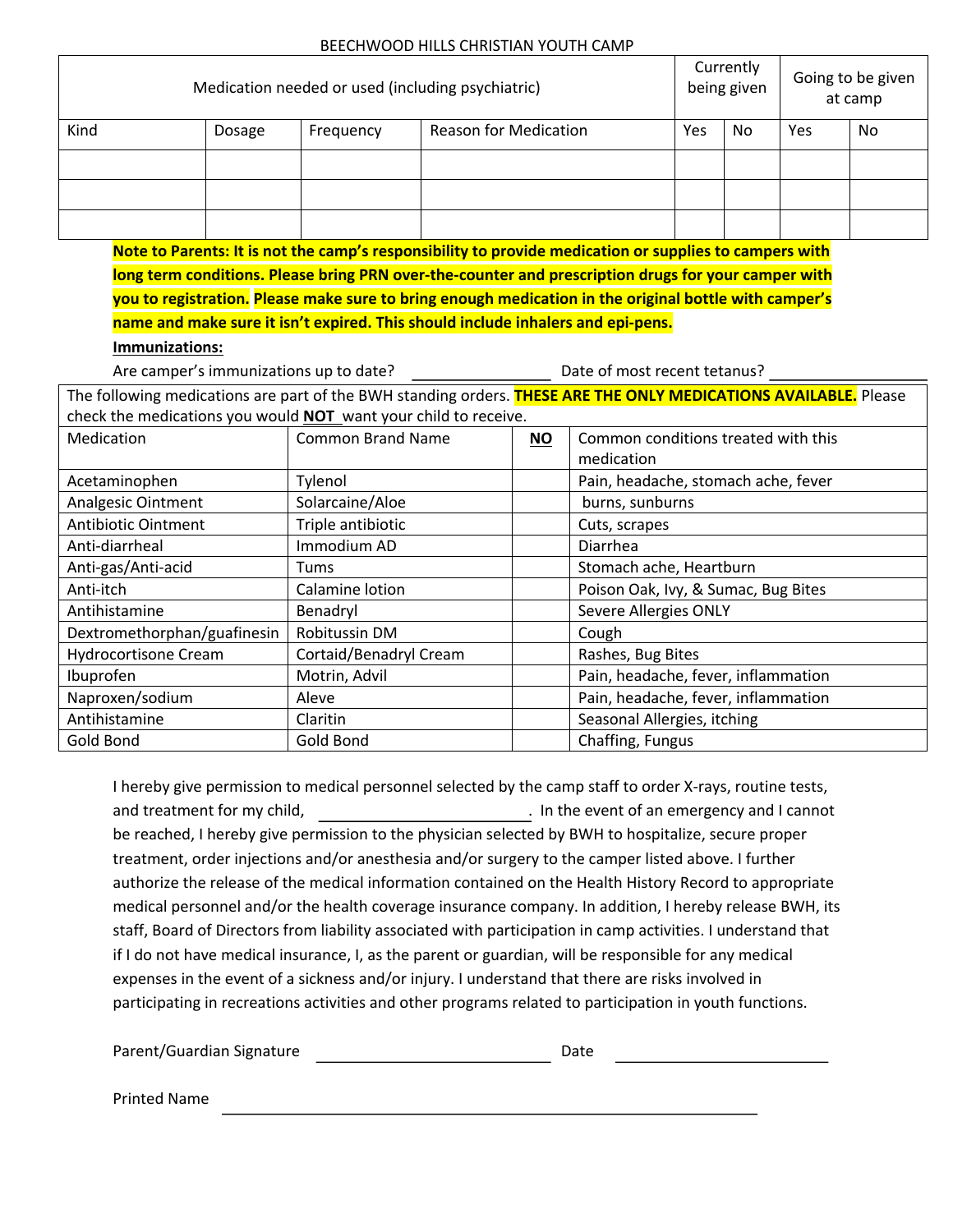#### BEECHWOOD HILLS CHRISTIAN YOUTH CAMP

| Medication needed or used (including psychiatric)                                                               |        |                                                                                                        |                              |                              | Currently<br>being given            |                       | Going to be given<br>at camp |     |           |
|-----------------------------------------------------------------------------------------------------------------|--------|--------------------------------------------------------------------------------------------------------|------------------------------|------------------------------|-------------------------------------|-----------------------|------------------------------|-----|-----------|
| Kind                                                                                                            | Dosage | Frequency                                                                                              | <b>Reason for Medication</b> |                              |                                     | Yes                   | <b>No</b>                    | Yes | <b>No</b> |
|                                                                                                                 |        |                                                                                                        |                              |                              |                                     |                       |                              |     |           |
|                                                                                                                 |        |                                                                                                        |                              |                              |                                     |                       |                              |     |           |
|                                                                                                                 |        |                                                                                                        |                              |                              |                                     |                       |                              |     |           |
|                                                                                                                 |        |                                                                                                        |                              |                              |                                     |                       |                              |     |           |
|                                                                                                                 |        | Note to Parents: It is not the camp's responsibility to provide medication or supplies to campers with |                              |                              |                                     |                       |                              |     |           |
|                                                                                                                 |        | long term conditions. Please bring PRN over-the-counter and prescription drugs for your camper with    |                              |                              |                                     |                       |                              |     |           |
|                                                                                                                 |        | you to registration. Please make sure to bring enough medication in the original bottle with camper's  |                              |                              |                                     |                       |                              |     |           |
|                                                                                                                 |        | name and make sure it isn't expired. This should include inhalers and epi-pens.                        |                              |                              |                                     |                       |                              |     |           |
| Immunizations:                                                                                                  |        |                                                                                                        |                              |                              |                                     |                       |                              |     |           |
| Are camper's immunizations up to date?                                                                          |        |                                                                                                        |                              | Date of most recent tetanus? |                                     |                       |                              |     |           |
| The following medications are part of the BWH standing orders. THESE ARE THE ONLY MEDICATIONS AVAILABLE. Please |        |                                                                                                        |                              |                              |                                     |                       |                              |     |           |
| check the medications you would NOT want your child to receive.                                                 |        |                                                                                                        |                              |                              |                                     |                       |                              |     |           |
| Medication                                                                                                      |        | <b>Common Brand Name</b>                                                                               |                              | <b>NO</b>                    | Common conditions treated with this |                       |                              |     |           |
|                                                                                                                 |        |                                                                                                        |                              |                              | medication                          |                       |                              |     |           |
| Acetaminophen                                                                                                   |        | Tylenol                                                                                                |                              |                              | Pain, headache, stomach ache, fever |                       |                              |     |           |
| Analgesic Ointment                                                                                              |        | Solarcaine/Aloe                                                                                        |                              |                              | burns, sunburns                     |                       |                              |     |           |
| <b>Antibiotic Ointment</b>                                                                                      |        | Triple antibiotic                                                                                      |                              |                              | Cuts, scrapes                       |                       |                              |     |           |
| Anti-diarrheal                                                                                                  |        | Immodium AD                                                                                            |                              |                              | Diarrhea                            |                       |                              |     |           |
| Anti-gas/Anti-acid                                                                                              |        | Tums                                                                                                   |                              |                              | Stomach ache, Heartburn             |                       |                              |     |           |
| Anti-itch                                                                                                       |        | Calamine lotion                                                                                        |                              |                              | Poison Oak, Ivy, & Sumac, Bug Bites |                       |                              |     |           |
| Antihistamine                                                                                                   |        | Benadryl                                                                                               |                              |                              |                                     | Severe Allergies ONLY |                              |     |           |
| Dextromethorphan/guafinesin                                                                                     |        | Robitussin DM                                                                                          |                              |                              | Cough                               |                       |                              |     |           |
| <b>Hydrocortisone Cream</b>                                                                                     |        | Cortaid/Benadryl Cream                                                                                 |                              | Rashes, Bug Bites            |                                     |                       |                              |     |           |
| Ibuprofen                                                                                                       |        | Motrin, Advil                                                                                          |                              |                              | Pain, headache, fever, inflammation |                       |                              |     |           |
| Naproxen/sodium                                                                                                 |        | Aleve                                                                                                  |                              |                              | Pain, headache, fever, inflammation |                       |                              |     |           |
| Antihistamine                                                                                                   |        | Claritin                                                                                               |                              |                              | Seasonal Allergies, itching         |                       |                              |     |           |
| Gold Bond                                                                                                       |        | Gold Bond                                                                                              |                              |                              | Chaffing, Fungus                    |                       |                              |     |           |

I hereby give permission to medical personnel selected by the camp staff to order X-rays, routine tests, and treatment for my child, . In the event of an emergency and I cannot be reached, I hereby give permission to the physician selected by BWH to hospitalize, secure proper treatment, order injections and/or anesthesia and/or surgery to the camper listed above. I further authorize the release of the medical information contained on the Health History Record to appropriate medical personnel and/or the health coverage insurance company. In addition, I hereby release BWH, its staff, Board of Directors from liability associated with participation in camp activities. I understand that if I do not have medical insurance, I, as the parent or guardian, will be responsible for any medical expenses in the event of a sickness and/or injury. I understand that there are risks involved in participating in recreations activities and other programs related to participation in youth functions.

Parent/Guardian Signature \_\_\_\_\_\_\_\_\_\_\_\_\_\_\_\_\_\_\_\_\_\_\_\_\_\_\_\_\_\_\_\_\_\_\_Date

Printed Name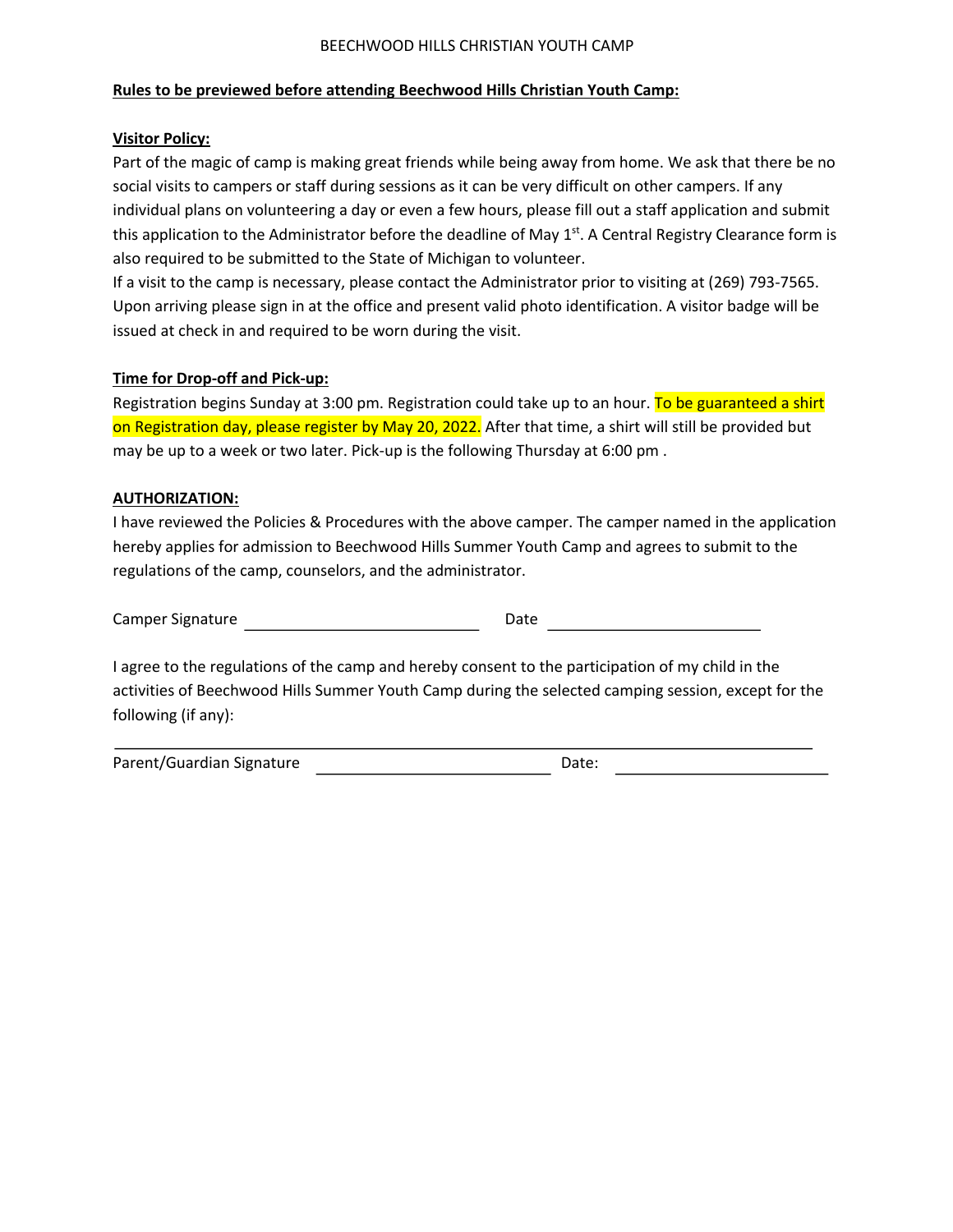#### BEECHWOOD HILLS CHRISTIAN YOUTH CAMP

### **Rules to be previewed before attending Beechwood Hills Christian Youth Camp:**

### **Visitor Policy:**

Part of the magic of camp is making great friends while being away from home. We ask that there be no social visits to campers or staff during sessions as it can be very difficult on other campers. If any individual plans on volunteering a day or even a few hours, please fill out a staff application and submit this application to the Administrator before the deadline of May  $1<sup>st</sup>$ . A Central Registry Clearance form is also required to be submitted to the State of Michigan to volunteer.

If a visit to the camp is necessary, please contact the Administrator prior to visiting at (269) 793-7565. Upon arriving please sign in at the office and present valid photo identification. A visitor badge will be issued at check in and required to be worn during the visit.

# **Time for Drop-off and Pick-up:**

Registration begins Sunday at 3:00 pm. Registration could take up to an hour. To be guaranteed a shirt on Registration day, please register by May 20, 2022. After that time, a shirt will still be provided but may be up to a week or two later. Pick-up is the following Thursday at 6:00 pm .

# **AUTHORIZATION:**

I have reviewed the Policies & Procedures with the above camper. The camper named in the application hereby applies for admission to Beechwood Hills Summer Youth Camp and agrees to submit to the regulations of the camp, counselors, and the administrator.

Camper Signature and the Date Date Date Date

I agree to the regulations of the camp and hereby consent to the participation of my child in the activities of Beechwood Hills Summer Youth Camp during the selected camping session, except for the following (if any):

Parent/Guardian Signature and Date: Date: Date: